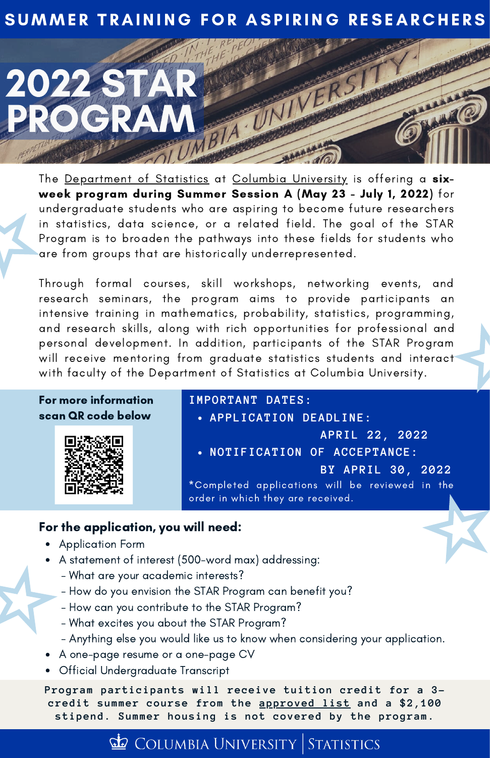## SUMMER TRAINING FOR ASPIRING RESEARCHERS



The [Department](https://stat.columbia.edu/) of Statistics at Columbia [University](https://www.columbia.edu/) is offering a sixweek program during Summer Session A (May 23 - July 1, 2022) for undergraduate students who are aspiring to become future researchers in statistics, data science, or a related field. The goal of the STAR Program is to broaden the pathways into these fields for students who are from groups that are historically underrepresented.

Through formal courses, skill workshops, networking events, and research seminars, the program aims to provide participants an intensive training in mathematics, probability, statistics, programming, and research skills, along with rich opportunities for professional and personal development. In addition, participants of the STAR Program will receive mentoring from graduate statistics students and interact with faculty of the Department of Statistics at Columbia University.

For more information scan QR code below



**IMPORTANT DATES:**

- **APPLICATION DEADLINE:**
- **NOTIFICATION OF ACCEPTANCE: APRIL 22, 2022 BY APRIL 30, 2022**

\*Completed applications will be reviewed in the order in which they are received.

### For the application, you will need:

- Application Form
- A statement of interest (500-word max) addressing:
	- What are your academic interests?
	- How do you envision the STAR Program can benefit you?
	- How can you contribute to the STAR Program?
	- What excites you about the STAR Program?
	- Anything else you would like us to know when considering your application.
	- A one-page resume or a one-page CV
- Official Undergraduate Transcript

**Program participants will receive tuition credit for a 3 credit summer course from the [approved](https://stat.columbia.edu/wp-content/uploads/2022/05/Approved-Courses-for-2022-STAR-Program_updated_05_01_2022.pdf) list and a \$2,100 stipend. Summer housing is not covered by the program.**

## COLUMBIA UNIVERSITY STATISTICS